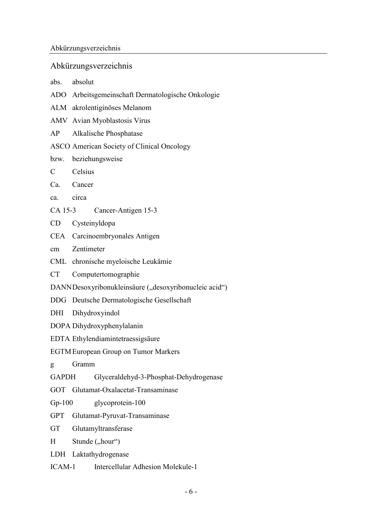## Abkürzungsverzeichnis

- abs. absolut
- ADO Arbeitsgemeinschaft Dermatologische Onkologie
- ALM akrolentiginöses Melanom
- AMV Avian Myoblastosis Virus
- AP Alkalische Phosphatase
- ASCO American Society of Clinical Oncology
- bzw. beziehungsweise
- C Celsius
- Ca. Cancer
- ca. circa
- CA 15-3 Cancer-Antigen 15-3
- CD Cysteinyldopa
- CEA Carcinoembryonales Antigen
- cm Zentimeter
- CML chronische myeloische Leukämie
- CT Computertomographie
- DANN Desoxyribonukleinsäure ("desoxyribonucleic acid")
- DDG Deutsche Dermatologische Gesellschaft
- DHI Dihydroxyindol
- DOPA Dihydroxyphenylalanin
- EDTA Ethylendiamintetraessigsäure
- EGTM European Group on Tumor Markers
- g Gramm
- GAPDH Glyceraldehyd-3-Phosphat-Dehydrogenase
- GOT Glutamat-Oxalacetat-Transaminase
- Gp-100 glycoprotein-100
- GPT Glutamat-Pyruvat-Transaminase
- GT Glutamyltransferase
- H Stunde ("hour")
- LDH Laktathydrogenase
- ICAM-1 Intercellular Adhesion Molekule-1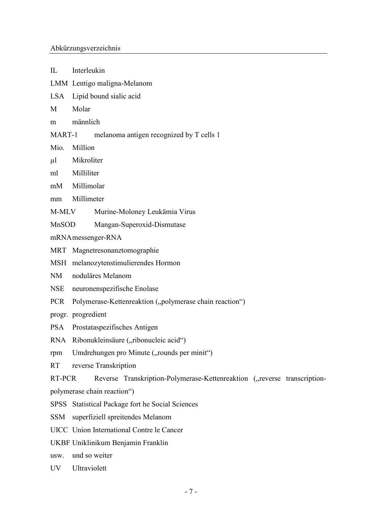| $\rm{I}\hspace{-2.0mm}L$    | Interleukin                                                              |
|-----------------------------|--------------------------------------------------------------------------|
|                             | LMM Lentigo maligna-Melanom                                              |
|                             | LSA Lipid bound sialic acid                                              |
| М                           | Molar                                                                    |
| m                           | männlich                                                                 |
|                             | MART-1<br>melanoma antigen recognized by T cells 1                       |
| Mio.                        | Million                                                                  |
| μl                          | Mikroliter                                                               |
|                             | ml Milliliter                                                            |
|                             | mM Millimolar                                                            |
| mm                          | Millimeter                                                               |
| M-MLV                       | Murine-Moloney Leukämia Virus                                            |
| MnSOD                       | Mangan-Superoxid-Dismutase                                               |
| mRNA messenger-RNA          |                                                                          |
|                             | MRT Magnetresonanztomographie                                            |
|                             | MSH melanozytenstimulierendes Hormon                                     |
| NM                          | noduläres Melanom                                                        |
| NSE                         | neuronenspezifische Enolase                                              |
| PCR                         | Polymerase-Kettenreaktion ("polymerase chain reaction")                  |
|                             | progr. progredient                                                       |
|                             | PSA Prostataspezifisches Antigen                                         |
|                             | RNA Ribonukleinsäure ("ribonucleic acid")                                |
| rpm                         | Umdrehungen pro Minute ("rounds per minit")                              |
| <b>RT</b>                   | reverse Transkription                                                    |
| RT-PCR                      | Reverse Transkription-Polymerase-Kettenreaktion ("reverse transcription- |
| polymerase chain reaction") |                                                                          |
|                             | SPSS Statistical Package fort he Social Sciences                         |
| SSM                         | superfiziell spreitendes Melanom                                         |
|                             | UICC Union International Contre le Cancer                                |
|                             | UKBF Uniklinikum Benjamin Franklin                                       |
| usw.                        | und so weiter                                                            |
| UV                          | Ultraviolett                                                             |